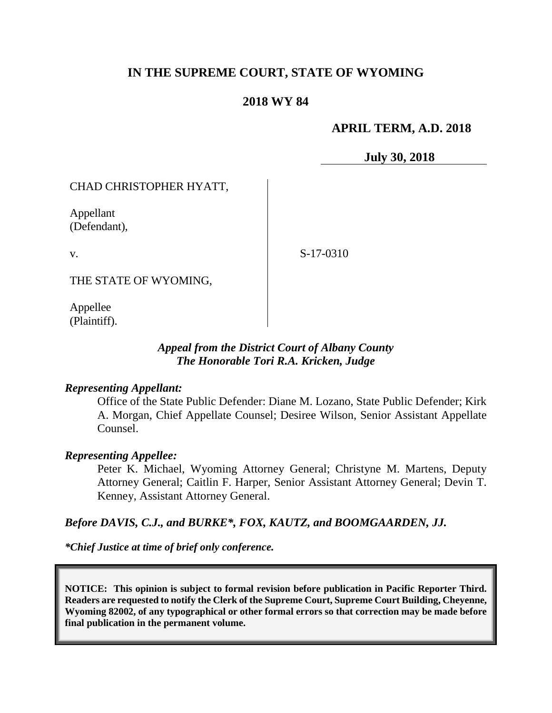# **IN THE SUPREME COURT, STATE OF WYOMING**

## **2018 WY 84**

## **APRIL TERM, A.D. 2018**

**July 30, 2018**

## CHAD CHRISTOPHER HYATT,

Appellant (Defendant),

v.

S-17-0310

THE STATE OF WYOMING,

Appellee (Plaintiff).

## *Appeal from the District Court of Albany County The Honorable Tori R.A. Kricken, Judge*

#### *Representing Appellant:*

Office of the State Public Defender: Diane M. Lozano, State Public Defender; Kirk A. Morgan, Chief Appellate Counsel; Desiree Wilson, Senior Assistant Appellate Counsel.

### *Representing Appellee:*

Peter K. Michael, Wyoming Attorney General; Christyne M. Martens, Deputy Attorney General; Caitlin F. Harper, Senior Assistant Attorney General; Devin T. Kenney, Assistant Attorney General.

### *Before DAVIS, C.J., and BURKE\*, FOX, KAUTZ, and BOOMGAARDEN, JJ.*

*\*Chief Justice at time of brief only conference.*

**NOTICE: This opinion is subject to formal revision before publication in Pacific Reporter Third. Readers are requested to notify the Clerk of the Supreme Court, Supreme Court Building, Cheyenne, Wyoming 82002, of any typographical or other formal errors so that correction may be made before final publication in the permanent volume.**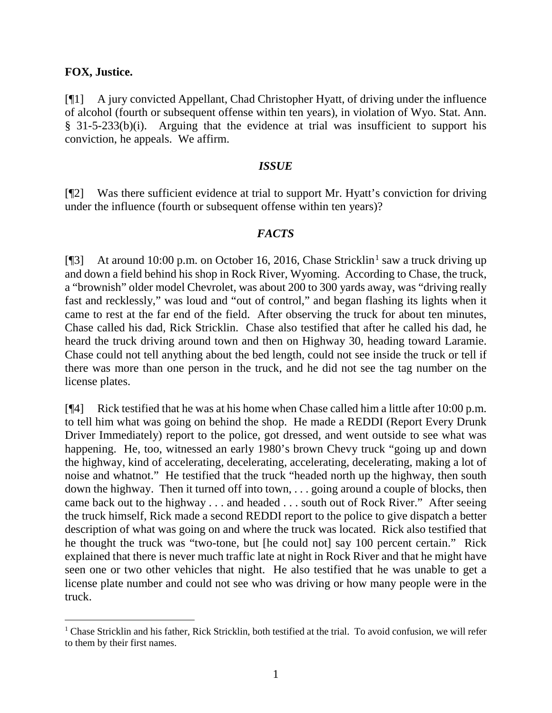### **FOX, Justice.**

[¶1] A jury convicted Appellant, Chad Christopher Hyatt, of driving under the influence of alcohol (fourth or subsequent offense within ten years), in violation of Wyo. Stat. Ann. § 31-5-233(b)(i). Arguing that the evidence at trial was insufficient to support his conviction, he appeals. We affirm.

#### *ISSUE*

[¶2] Was there sufficient evidence at trial to support Mr. Hyatt's conviction for driving under the influence (fourth or subsequent offense within ten years)?

#### *FACTS*

[ $\sqrt{3}$ ] At around [1](#page-1-0)0:00 p.m. on October 16, 2016, Chase Stricklin<sup>1</sup> saw a truck driving up and down a field behind his shop in Rock River, Wyoming. According to Chase, the truck, a "brownish" older model Chevrolet, was about 200 to 300 yards away, was "driving really fast and recklessly," was loud and "out of control," and began flashing its lights when it came to rest at the far end of the field. After observing the truck for about ten minutes, Chase called his dad, Rick Stricklin. Chase also testified that after he called his dad, he heard the truck driving around town and then on Highway 30, heading toward Laramie. Chase could not tell anything about the bed length, could not see inside the truck or tell if there was more than one person in the truck, and he did not see the tag number on the license plates.

[¶4] Rick testified that he was at his home when Chase called him a little after 10:00 p.m. to tell him what was going on behind the shop. He made a REDDI (Report Every Drunk Driver Immediately) report to the police, got dressed, and went outside to see what was happening. He, too, witnessed an early 1980's brown Chevy truck "going up and down the highway, kind of accelerating, decelerating, accelerating, decelerating, making a lot of noise and whatnot." He testified that the truck "headed north up the highway, then south down the highway. Then it turned off into town, . . . going around a couple of blocks, then came back out to the highway . . . and headed . . . south out of Rock River." After seeing the truck himself, Rick made a second REDDI report to the police to give dispatch a better description of what was going on and where the truck was located. Rick also testified that he thought the truck was "two-tone, but [he could not] say 100 percent certain." Rick explained that there is never much traffic late at night in Rock River and that he might have seen one or two other vehicles that night. He also testified that he was unable to get a license plate number and could not see who was driving or how many people were in the truck.

<span id="page-1-0"></span><sup>1</sup> Chase Stricklin and his father, Rick Stricklin, both testified at the trial. To avoid confusion, we will refer to them by their first names.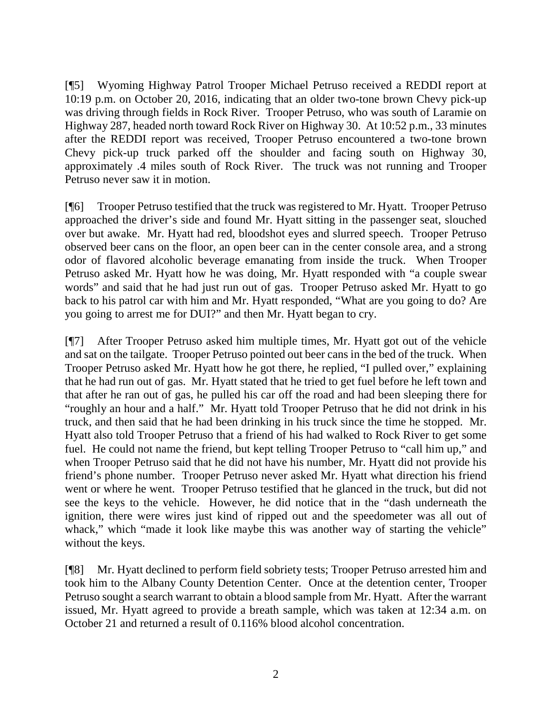[¶5] Wyoming Highway Patrol Trooper Michael Petruso received a REDDI report at 10:19 p.m. on October 20, 2016, indicating that an older two-tone brown Chevy pick-up was driving through fields in Rock River. Trooper Petruso, who was south of Laramie on Highway 287, headed north toward Rock River on Highway 30. At 10:52 p.m., 33 minutes after the REDDI report was received, Trooper Petruso encountered a two-tone brown Chevy pick-up truck parked off the shoulder and facing south on Highway 30, approximately .4 miles south of Rock River. The truck was not running and Trooper Petruso never saw it in motion.

[¶6] Trooper Petruso testified that the truck was registered to Mr. Hyatt. Trooper Petruso approached the driver's side and found Mr. Hyatt sitting in the passenger seat, slouched over but awake. Mr. Hyatt had red, bloodshot eyes and slurred speech. Trooper Petruso observed beer cans on the floor, an open beer can in the center console area, and a strong odor of flavored alcoholic beverage emanating from inside the truck. When Trooper Petruso asked Mr. Hyatt how he was doing, Mr. Hyatt responded with "a couple swear words" and said that he had just run out of gas. Trooper Petruso asked Mr. Hyatt to go back to his patrol car with him and Mr. Hyatt responded, "What are you going to do? Are you going to arrest me for DUI?" and then Mr. Hyatt began to cry.

[¶7] After Trooper Petruso asked him multiple times, Mr. Hyatt got out of the vehicle and sat on the tailgate. Trooper Petruso pointed out beer cans in the bed of the truck. When Trooper Petruso asked Mr. Hyatt how he got there, he replied, "I pulled over," explaining that he had run out of gas. Mr. Hyatt stated that he tried to get fuel before he left town and that after he ran out of gas, he pulled his car off the road and had been sleeping there for "roughly an hour and a half." Mr. Hyatt told Trooper Petruso that he did not drink in his truck, and then said that he had been drinking in his truck since the time he stopped. Mr. Hyatt also told Trooper Petruso that a friend of his had walked to Rock River to get some fuel. He could not name the friend, but kept telling Trooper Petruso to "call him up," and when Trooper Petruso said that he did not have his number, Mr. Hyatt did not provide his friend's phone number. Trooper Petruso never asked Mr. Hyatt what direction his friend went or where he went. Trooper Petruso testified that he glanced in the truck, but did not see the keys to the vehicle. However, he did notice that in the "dash underneath the ignition, there were wires just kind of ripped out and the speedometer was all out of whack," which "made it look like maybe this was another way of starting the vehicle" without the keys.

[¶8] Mr. Hyatt declined to perform field sobriety tests; Trooper Petruso arrested him and took him to the Albany County Detention Center. Once at the detention center, Trooper Petruso sought a search warrant to obtain a blood sample from Mr. Hyatt. After the warrant issued, Mr. Hyatt agreed to provide a breath sample, which was taken at 12:34 a.m. on October 21 and returned a result of 0.116% blood alcohol concentration.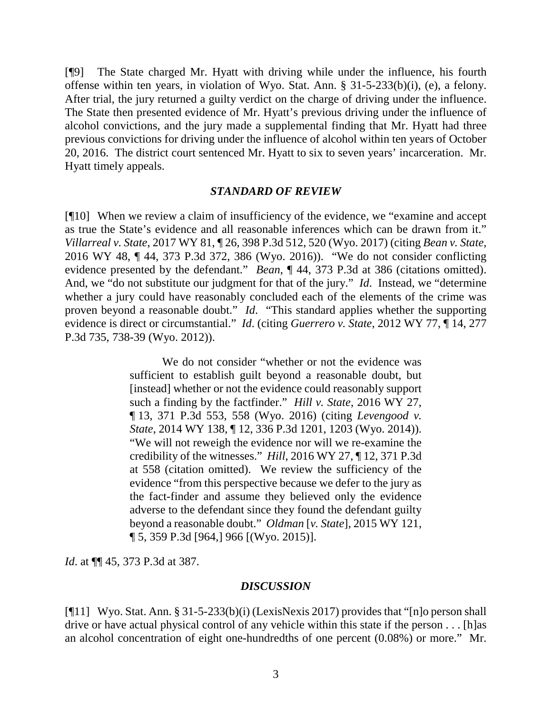[¶9] The State charged Mr. Hyatt with driving while under the influence, his fourth offense within ten years, in violation of Wyo. Stat. Ann. § 31-5-233(b)(i), (e), a felony. After trial, the jury returned a guilty verdict on the charge of driving under the influence. The State then presented evidence of Mr. Hyatt's previous driving under the influence of alcohol convictions, and the jury made a supplemental finding that Mr. Hyatt had three previous convictions for driving under the influence of alcohol within ten years of October 20, 2016. The district court sentenced Mr. Hyatt to six to seven years' incarceration. Mr. Hyatt timely appeals.

#### *STANDARD OF REVIEW*

[¶10] When we review a claim of insufficiency of the evidence, we "examine and accept as true the State's evidence and all reasonable inferences which can be drawn from it." *Villarreal v. State*, 2017 WY 81, ¶ 26, 398 P.3d 512, 520 (Wyo. 2017) (citing *Bean v. State*, 2016 WY 48, ¶ 44, 373 P.3d 372, 386 (Wyo. 2016)). "We do not consider conflicting evidence presented by the defendant." *Bean*, ¶ 44, 373 P.3d at 386 (citations omitted). And, we "do not substitute our judgment for that of the jury." *Id*. Instead, we "determine whether a jury could have reasonably concluded each of the elements of the crime was proven beyond a reasonable doubt." *Id*. "This standard applies whether the supporting evidence is direct or circumstantial." *Id*. (citing *Guerrero v. State*, 2012 WY 77, ¶ 14, 277 P.3d 735, 738-39 (Wyo. 2012)).

> We do not consider "whether or not the evidence was sufficient to establish guilt beyond a reasonable doubt, but [instead] whether or not the evidence could reasonably support such a finding by the factfinder." *Hill v. State*, 2016 WY 27, ¶ 13, 371 P.3d 553, 558 (Wyo. 2016) (citing *Levengood v. State*, 2014 WY 138, ¶ 12, 336 P.3d 1201, 1203 (Wyo. 2014)). "We will not reweigh the evidence nor will we re-examine the credibility of the witnesses." *Hill*, 2016 WY 27, ¶ 12, 371 P.3d at 558 (citation omitted). We review the sufficiency of the evidence "from this perspective because we defer to the jury as the fact-finder and assume they believed only the evidence adverse to the defendant since they found the defendant guilty beyond a reasonable doubt." *Oldman* [*v. State*], 2015 WY 121, ¶ 5, 359 P.3d [964,] 966 [(Wyo. 2015)].

*Id*. at ¶¶ 45, 373 P.3d at 387.

### *DISCUSSION*

[¶11] Wyo. Stat. Ann. § 31-5-233(b)(i) (LexisNexis 2017) provides that "[n]o person shall drive or have actual physical control of any vehicle within this state if the person . . . [h]as an alcohol concentration of eight one-hundredths of one percent (0.08%) or more." Mr.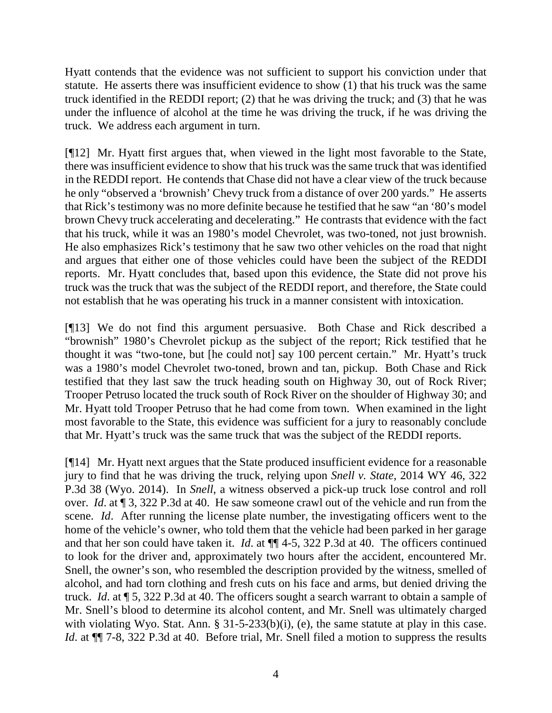Hyatt contends that the evidence was not sufficient to support his conviction under that statute. He asserts there was insufficient evidence to show (1) that his truck was the same truck identified in the REDDI report; (2) that he was driving the truck; and (3) that he was under the influence of alcohol at the time he was driving the truck, if he was driving the truck. We address each argument in turn.

[¶12] Mr. Hyatt first argues that, when viewed in the light most favorable to the State, there was insufficient evidence to show that his truck was the same truck that was identified in the REDDI report. He contends that Chase did not have a clear view of the truck because he only "observed a 'brownish' Chevy truck from a distance of over 200 yards." He asserts that Rick's testimony was no more definite because he testified that he saw "an '80's model brown Chevy truck accelerating and decelerating." He contrasts that evidence with the fact that his truck, while it was an 1980's model Chevrolet, was two-toned, not just brownish. He also emphasizes Rick's testimony that he saw two other vehicles on the road that night and argues that either one of those vehicles could have been the subject of the REDDI reports. Mr. Hyatt concludes that, based upon this evidence, the State did not prove his truck was the truck that was the subject of the REDDI report, and therefore, the State could not establish that he was operating his truck in a manner consistent with intoxication.

[¶13] We do not find this argument persuasive. Both Chase and Rick described a "brownish" 1980's Chevrolet pickup as the subject of the report; Rick testified that he thought it was "two-tone, but [he could not] say 100 percent certain." Mr. Hyatt's truck was a 1980's model Chevrolet two-toned, brown and tan, pickup. Both Chase and Rick testified that they last saw the truck heading south on Highway 30, out of Rock River; Trooper Petruso located the truck south of Rock River on the shoulder of Highway 30; and Mr. Hyatt told Trooper Petruso that he had come from town. When examined in the light most favorable to the State, this evidence was sufficient for a jury to reasonably conclude that Mr. Hyatt's truck was the same truck that was the subject of the REDDI reports.

[¶14] Mr. Hyatt next argues that the State produced insufficient evidence for a reasonable jury to find that he was driving the truck, relying upon *Snell v. State*, 2014 WY 46, 322 P.3d 38 (Wyo. 2014). In *Snell*, a witness observed a pick-up truck lose control and roll over. *Id*. at ¶ 3, 322 P.3d at 40. He saw someone crawl out of the vehicle and run from the scene. *Id*. After running the license plate number, the investigating officers went to the home of the vehicle's owner, who told them that the vehicle had been parked in her garage and that her son could have taken it. *Id*. at ¶¶ 4-5, 322 P.3d at 40. The officers continued to look for the driver and, approximately two hours after the accident, encountered Mr. Snell, the owner's son, who resembled the description provided by the witness, smelled of alcohol, and had torn clothing and fresh cuts on his face and arms, but denied driving the truck. *Id*. at ¶ 5, 322 P.3d at 40. The officers sought a search warrant to obtain a sample of Mr. Snell's blood to determine its alcohol content, and Mr. Snell was ultimately charged with violating Wyo. Stat. Ann. § 31-5-233(b)(i), (e), the same statute at play in this case. *Id.* at  $\P$  7-8, 322 P.3d at 40. Before trial, Mr. Snell filed a motion to suppress the results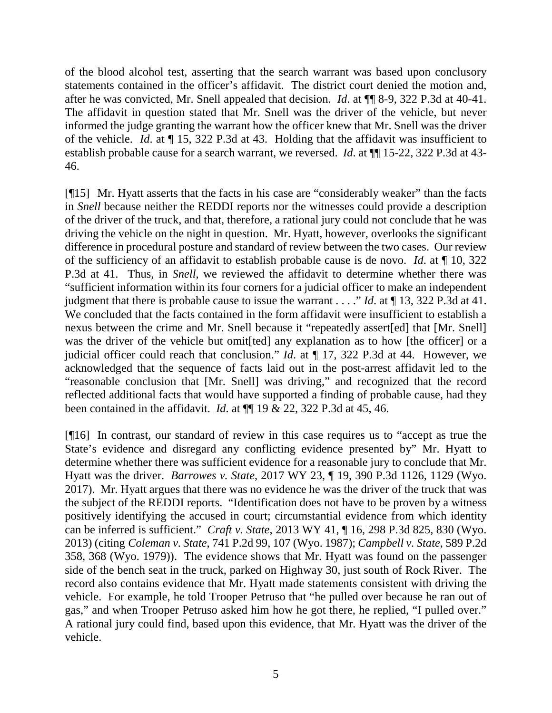of the blood alcohol test, asserting that the search warrant was based upon conclusory statements contained in the officer's affidavit. The district court denied the motion and, after he was convicted, Mr. Snell appealed that decision. *Id*. at ¶¶ 8-9, 322 P.3d at 40-41. The affidavit in question stated that Mr. Snell was the driver of the vehicle, but never informed the judge granting the warrant how the officer knew that Mr. Snell was the driver of the vehicle. *Id*. at ¶ 15, 322 P.3d at 43. Holding that the affidavit was insufficient to establish probable cause for a search warrant, we reversed. *Id*. at ¶¶ 15-22, 322 P.3d at 43- 46.

[¶15] Mr. Hyatt asserts that the facts in his case are "considerably weaker" than the facts in *Snell* because neither the REDDI reports nor the witnesses could provide a description of the driver of the truck, and that, therefore, a rational jury could not conclude that he was driving the vehicle on the night in question. Mr. Hyatt, however, overlooks the significant difference in procedural posture and standard of review between the two cases. Our review of the sufficiency of an affidavit to establish probable cause is de novo. *Id*. at ¶ 10, 322 P.3d at 41. Thus, in *Snell*, we reviewed the affidavit to determine whether there was "sufficient information within its four corners for a judicial officer to make an independent judgment that there is probable cause to issue the warrant . . . ." *Id*. at ¶ 13, 322 P.3d at 41. We concluded that the facts contained in the form affidavit were insufficient to establish a nexus between the crime and Mr. Snell because it "repeatedly assert[ed] that [Mr. Snell] was the driver of the vehicle but omit [ted] any explanation as to how [the officer] or a judicial officer could reach that conclusion." *Id*. at ¶ 17, 322 P.3d at 44. However, we acknowledged that the sequence of facts laid out in the post-arrest affidavit led to the "reasonable conclusion that [Mr. Snell] was driving," and recognized that the record reflected additional facts that would have supported a finding of probable cause, had they been contained in the affidavit. *Id*. at ¶¶ 19 & 22, 322 P.3d at 45, 46.

[¶16] In contrast, our standard of review in this case requires us to "accept as true the State's evidence and disregard any conflicting evidence presented by" Mr. Hyatt to determine whether there was sufficient evidence for a reasonable jury to conclude that Mr. Hyatt was the driver. *Barrowes v. State*, 2017 WY 23, ¶ 19, 390 P.3d 1126, 1129 (Wyo. 2017). Mr. Hyatt argues that there was no evidence he was the driver of the truck that was the subject of the REDDI reports. "Identification does not have to be proven by a witness positively identifying the accused in court; circumstantial evidence from which identity can be inferred is sufficient." *Craft v. State*, 2013 WY 41, ¶ 16, 298 P.3d 825, 830 (Wyo. 2013) (citing *Coleman v. State*, 741 P.2d 99, 107 (Wyo. 1987); *Campbell v. State*, 589 P.2d 358, 368 (Wyo. 1979)). The evidence shows that Mr. Hyatt was found on the passenger side of the bench seat in the truck, parked on Highway 30, just south of Rock River. The record also contains evidence that Mr. Hyatt made statements consistent with driving the vehicle. For example, he told Trooper Petruso that "he pulled over because he ran out of gas," and when Trooper Petruso asked him how he got there, he replied, "I pulled over." A rational jury could find, based upon this evidence, that Mr. Hyatt was the driver of the vehicle.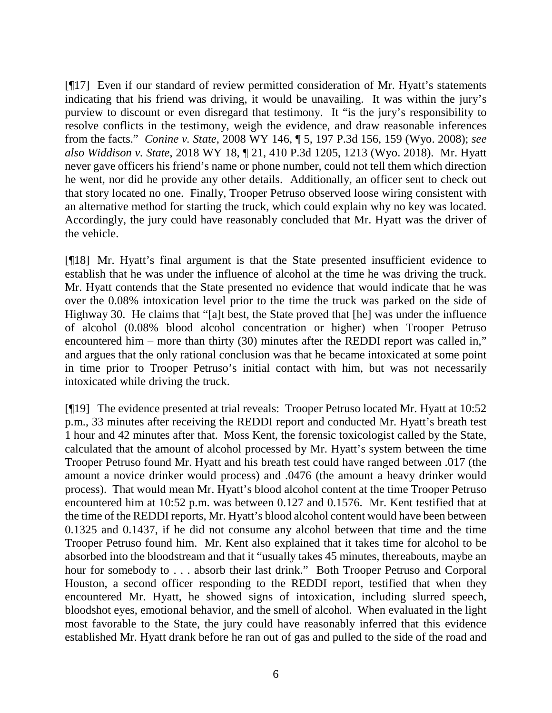[¶17] Even if our standard of review permitted consideration of Mr. Hyatt's statements indicating that his friend was driving, it would be unavailing. It was within the jury's purview to discount or even disregard that testimony. It "is the jury's responsibility to resolve conflicts in the testimony, weigh the evidence, and draw reasonable inferences from the facts." *Conine v. State*, 2008 WY 146, ¶ 5, 197 P.3d 156, 159 (Wyo. 2008); *see also Widdison v. State*, 2018 WY 18, ¶ 21, 410 P.3d 1205, 1213 (Wyo. 2018). Mr. Hyatt never gave officers his friend's name or phone number, could not tell them which direction he went, nor did he provide any other details. Additionally, an officer sent to check out that story located no one. Finally, Trooper Petruso observed loose wiring consistent with an alternative method for starting the truck, which could explain why no key was located. Accordingly, the jury could have reasonably concluded that Mr. Hyatt was the driver of the vehicle.

[¶18] Mr. Hyatt's final argument is that the State presented insufficient evidence to establish that he was under the influence of alcohol at the time he was driving the truck. Mr. Hyatt contends that the State presented no evidence that would indicate that he was over the 0.08% intoxication level prior to the time the truck was parked on the side of Highway 30. He claims that "[a]t best, the State proved that [he] was under the influence of alcohol (0.08% blood alcohol concentration or higher) when Trooper Petruso encountered him – more than thirty (30) minutes after the REDDI report was called in," and argues that the only rational conclusion was that he became intoxicated at some point in time prior to Trooper Petruso's initial contact with him, but was not necessarily intoxicated while driving the truck.

[¶19] The evidence presented at trial reveals: Trooper Petruso located Mr. Hyatt at 10:52 p.m., 33 minutes after receiving the REDDI report and conducted Mr. Hyatt's breath test 1 hour and 42 minutes after that. Moss Kent, the forensic toxicologist called by the State, calculated that the amount of alcohol processed by Mr. Hyatt's system between the time Trooper Petruso found Mr. Hyatt and his breath test could have ranged between .017 (the amount a novice drinker would process) and .0476 (the amount a heavy drinker would process). That would mean Mr. Hyatt's blood alcohol content at the time Trooper Petruso encountered him at 10:52 p.m. was between 0.127 and 0.1576. Mr. Kent testified that at the time of the REDDI reports, Mr. Hyatt's blood alcohol content would have been between 0.1325 and 0.1437, if he did not consume any alcohol between that time and the time Trooper Petruso found him. Mr. Kent also explained that it takes time for alcohol to be absorbed into the bloodstream and that it "usually takes 45 minutes, thereabouts, maybe an hour for somebody to . . . absorb their last drink." Both Trooper Petruso and Corporal Houston, a second officer responding to the REDDI report, testified that when they encountered Mr. Hyatt, he showed signs of intoxication, including slurred speech, bloodshot eyes, emotional behavior, and the smell of alcohol. When evaluated in the light most favorable to the State, the jury could have reasonably inferred that this evidence established Mr. Hyatt drank before he ran out of gas and pulled to the side of the road and